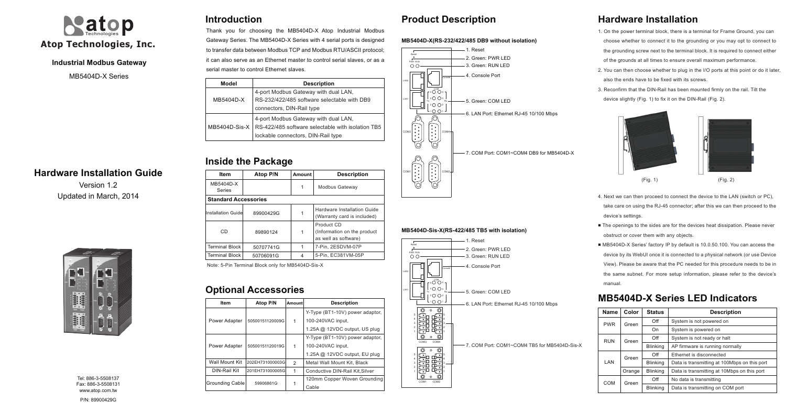## **Industrial Modbus Gateway**

## **Hardware Installation Guide**

Version 1.2 Updated in March, 2014



# **Introduction**

# **Inside the Package**

# **Product Description**

Tel: 886-3-5508137 Fax: 886-3-5508131 www.atop.com.tw



MB5404D-X Series

Thank you for choosing the MB5404D-X Atop Industrial Modbus Gateway Series. The MB5404D-X Series with 4 serial ports is designed to transfer data between Modbus TCP and Modbus RTU/ASCII protocol; it can also serve as an Ethernet master to control serial slaves, or as a serial master to control Ethernet slaves.

## **Hardware Installation**

■ The openings to the sides are for the devices heat dissipation. Please never obstruct or cover them with any objects.

1. On the power terminal block, there is a terminal for Frame Ground, you can choose whether to connect it to the grounding or you may opt to connect to the grounding screw next to the terminal block. It is required to connect either of the grounds at all times to ensure overall maximum performance.

■ MB5404D-X Series' factory IP by default is 10.0.50.100. You can access the device by its WebUI once it is connected to a physical network (or use Device View). Please be aware that the PC needed for this procedure needs to be in the same subnet. For more setup information, please refer to the device's

2. You can then choose whether to plug in the I/O ports at this point or do it later, also the ends have to be fixed with its screws.

3. Reconfirm that the DIN-Rail has been mounted firmly on the rail. Tilt the device slightly (Fig. 1) to fix it on the DIN-Rail (Fig. 2).





- 
- 
- device's settings.
- 
- 
- 
- 
- 
- manual.



## **MB5404D-X Series LED Indicators**

| Model           | <b>Description</b>                                |  |  |
|-----------------|---------------------------------------------------|--|--|
|                 | 4-port Modbus Gateway with dual LAN,              |  |  |
| MB5404D-X       | RS-232/422/485 software selectable with DB9       |  |  |
|                 | connectors, DIN-Rail type                         |  |  |
|                 | 4-port Modbus Gateway with dual LAN,              |  |  |
| $MB5404D-Sis-X$ | RS-422/485 software selectable with isolation TB5 |  |  |
|                 | lockable connectors, DIN-Rail type                |  |  |

| Item                  | Atop P/N                    | Amount | <b>Description</b>                                                 |  |  |  |
|-----------------------|-----------------------------|--------|--------------------------------------------------------------------|--|--|--|
| MB5404D-X<br>Series   |                             | 1      | Modbus Gateway                                                     |  |  |  |
|                       | <b>Standard Accessories</b> |        |                                                                    |  |  |  |
| Installation Guidel   | 89900429G<br>1              |        | Hardware Installation Guide<br>(Warranty card is included)         |  |  |  |
| CD                    | 89890124                    |        | Product CD<br>(Information on the product)<br>as well as software) |  |  |  |
| <b>Terminal Block</b> | 50707741G                   |        | 7-Pin, 2ESDVM-07P                                                  |  |  |  |
| Terminal Block        | 50706091G                   | 4      | 5-Pin, EC381VM-05P                                                 |  |  |  |

# **Optional Accessories**

| Name                | Color  | <b>Status</b>   | <b>Description</b>                           |  |  |
|---------------------|--------|-----------------|----------------------------------------------|--|--|
| <b>PWR</b><br>Green |        | Off             | System is not powered on                     |  |  |
|                     |        | On              | System is powered on                         |  |  |
| <b>RUN</b>          | Green  | Off             | System is not ready or halt                  |  |  |
|                     |        | <b>Blinking</b> | AP firmware is running normally              |  |  |
|                     | Green  | Off             | Ethernet is disconnected                     |  |  |
| LAN                 |        | <b>Blinking</b> | Data is transmitting at 100Mbps on this port |  |  |
|                     | Orange | <b>Blinking</b> | Data is transmitting at 10Mbps on this port  |  |  |
| COM                 | Green  | Off             | No data is transmitting                      |  |  |
|                     |        | <b>Blinking</b> | Data is transmitting on COM port             |  |  |

| Item            | Atop P/N        | Amountl | <b>Description</b>              |
|-----------------|-----------------|---------|---------------------------------|
|                 |                 |         | Y-Type (BT1-10V) power adaptor, |
| Power Adapter   | 50500151120009G | 1       | 100-240VAC input,               |
|                 |                 |         | 1.25A @ 12VDC output, US plug   |
|                 | 50500151120019G |         | Y-Type (BT1-10V) power adaptor, |
| Power Adapter   |                 | 1       | 100-240VAC input,               |
|                 |                 |         | 1.25A @ 12VDC output, EU plug   |
| Wall Mount Kit  | 202EH731000003G |         | Metal Wall Mount Kit. Black     |
| DIN-Rail Kit    | 201EH731000005G | 1       | Conductive DIN-Rail Kit, Silver |
| Grounding Cable |                 |         | 120mm Copper Woven Grounding    |
|                 | 59906861G       |         | Cable                           |

Note: 5-Pin Terminal Block only for MB5404D-Sis-X

COM1 COM2

 $\begin{array}{c} \mathbb{S} \\ \mathbb{S} \\ \mathbb{S} \\ \mathbb{S} \\ \mathbb{S} \\ \mathbb{S} \\ \mathbb{S} \\ \mathbb{S} \\ \mathbb{S} \\ \mathbb{S} \\ \mathbb{S} \\ \mathbb{S} \\ \mathbb{S} \\ \mathbb{S} \\ \mathbb{S} \\ \mathbb{S} \\ \mathbb{S} \\ \mathbb{S} \\ \mathbb{S} \\ \mathbb{S} \\ \mathbb{S} \\ \mathbb{S} \\ \mathbb{S} \\ \mathbb{S} \\ \mathbb{S} \\ \mathbb{S} \\ \mathbb{S} \\ \mathbb{S} \\ \mathbb{S} \\ \mathbb{S} \\ \mathbb$ 

1 U U 1

6. LAN Port: Ethernet RJ-45 10/100 Mbps

7. COM Port: COM1~COM4 TB5 for MB5404D-Sis-X

- -
	-
- 
- 
-